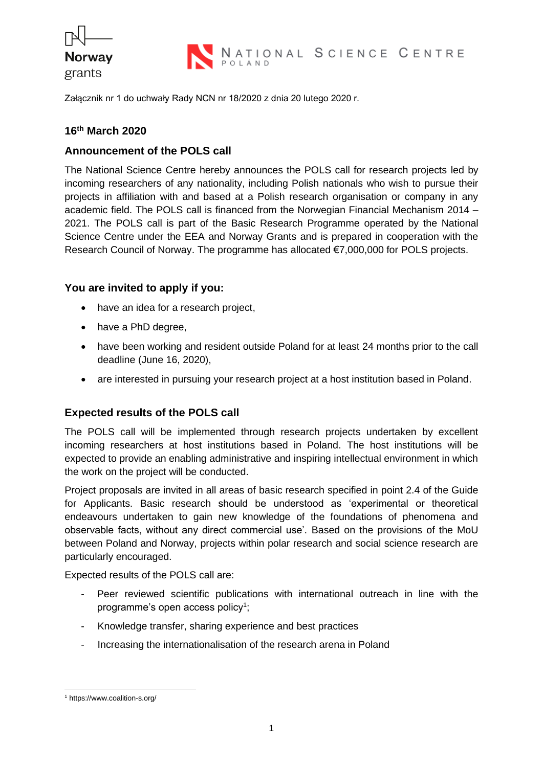

NATIONAL SCIENCE CENTRE

Załącznik nr 1 do uchwały Rady NCN nr 18/2020 z dnia 20 lutego 2020 r.

# **16 th March 2020**

#### **Announcement of the POLS call**

The National Science Centre hereby announces the POLS call for research projects led by incoming researchers of any nationality, including Polish nationals who wish to pursue their projects in affiliation with and based at a Polish research organisation or company in any academic field. The POLS call is financed from the Norwegian Financial Mechanism 2014 – 2021. The POLS call is part of the Basic Research Programme operated by the National Science Centre under the EEA and Norway Grants and is prepared in cooperation with the Research Council of Norway. The programme has allocated €7,000,000 for POLS projects.

#### **You are invited to apply if you:**

- have an idea for a research project,
- have a PhD degree,
- have been working and resident outside Poland for at least 24 months prior to the call deadline (June 16, 2020),
- are interested in pursuing your research project at a host institution based in Poland.

## **Expected results of the POLS call**

The POLS call will be implemented through research projects undertaken by excellent incoming researchers at host institutions based in Poland. The host institutions will be expected to provide an enabling administrative and inspiring intellectual environment in which the work on the project will be conducted.

Project proposals are invited in all areas of basic research specified in point 2.4 of the Guide for Applicants. Basic research should be understood as 'experimental or theoretical endeavours undertaken to gain new knowledge of the foundations of phenomena and observable facts, without any direct commercial use'. Based on the provisions of the MoU between Poland and Norway, projects within polar research and social science research are particularly encouraged.

Expected results of the POLS call are:

- Peer reviewed scientific publications with international outreach in line with the programme's open access policy<sup>1</sup>;
- Knowledge transfer, sharing experience and best practices
- Increasing the internationalisation of the research arena in Poland

<sup>1</sup> https://www.coalition-s.org/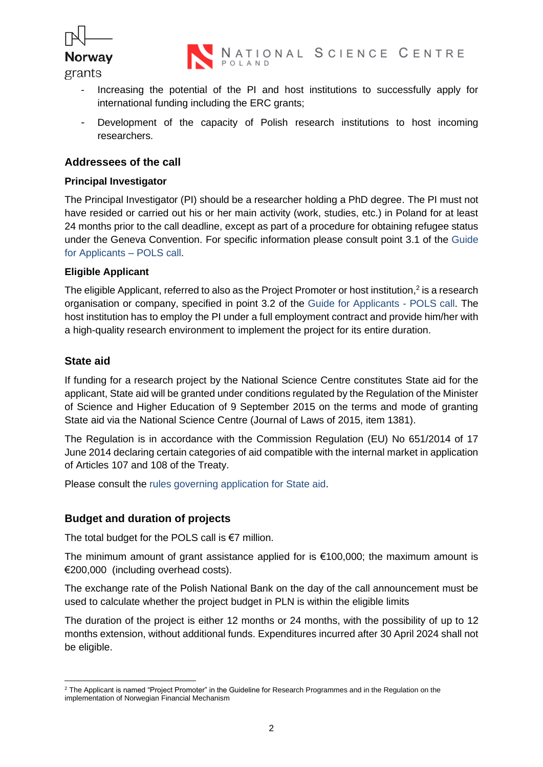

grants

- Increasing the potential of the PI and host institutions to successfully apply for international funding including the ERC grants;
- Development of the capacity of Polish research institutions to host incoming researchers.

# **Addressees of the call**

#### **Principal Investigator**

The Principal Investigator (PI) should be a researcher holding a PhD degree. The PI must not have resided or carried out his or her main activity (work, studies, etc.) in Poland for at least 24 months prior to the call deadline, except as part of a procedure for obtaining refugee status under the Geneva Convention. For specific information please consult point 3.1 of the Guide for Applicants – POLS call.

#### **Eligible Applicant**

The eligible Applicant, referred to also as the Project Promoter or host institution,<sup>2</sup> is a research organisation or company, specified in point 3.2 of the Guide for Applicants - POLS call. The host institution has to employ the PI under a full employment contract and provide him/her with a high-quality research environment to implement the project for its entire duration.

## **State aid**

If funding for a research project by the National Science Centre constitutes State aid for the applicant, State aid will be granted under conditions regulated by the Regulation of the Minister of Science and Higher Education of 9 September 2015 on the terms and mode of granting State aid via the National Science Centre (Journal of Laws of 2015, item 1381).

The Regulation is in accordance with the Commission Regulation (EU) No 651/2014 of 17 June 2014 declaring certain categories of aid compatible with the internal market in application of Articles 107 and 108 of the Treaty.

Please consult the rules governing application for State aid.

## **Budget and duration of projects**

The total budget for the POLS call is  $€7$  million.

The minimum amount of grant assistance applied for is  $€100,000$ ; the maximum amount is €200,000 (including overhead costs).

The exchange rate of the Polish National Bank on the day of the call announcement must be used to calculate whether the project budget in PLN is within the eligible limits

The duration of the project is either 12 months or 24 months, with the possibility of up to 12 months extension, without additional funds. Expenditures incurred after 30 April 2024 shall not be eligible.

<sup>&</sup>lt;sup>2</sup> The Applicant is named "Project Promoter" in the Guideline for Research Programmes and in the Regulation on the implementation of Norwegian Financial Mechanism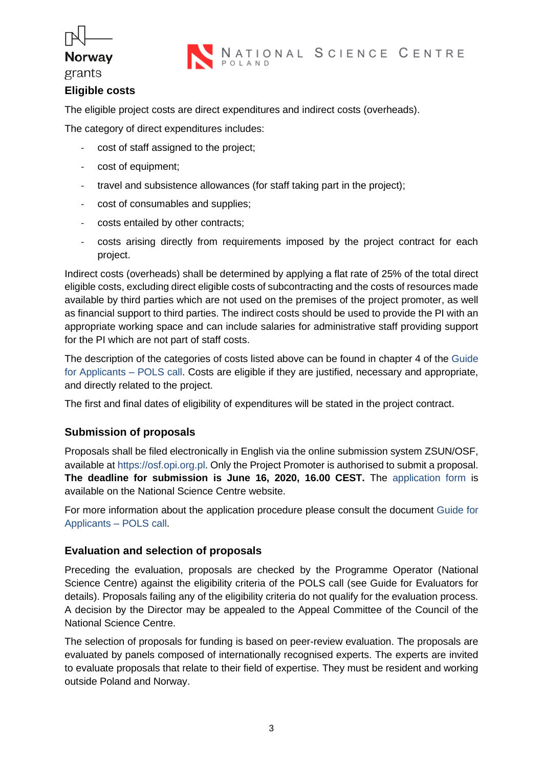# **Norway**



#### grants

# **Eligible costs**

The eligible project costs are direct expenditures and indirect costs (overheads).

The category of direct expenditures includes:

- cost of staff assigned to the project;
- cost of equipment;
- travel and subsistence allowances (for staff taking part in the project);
- cost of consumables and supplies;
- costs entailed by other contracts;
- costs arising directly from requirements imposed by the project contract for each project.

Indirect costs (overheads) shall be determined by applying a flat rate of 25% of the total direct eligible costs, excluding direct eligible costs of subcontracting and the costs of resources made available by third parties which are not used on the premises of the project promoter, as well as financial support to third parties. The indirect costs should be used to provide the PI with an appropriate working space and can include salaries for administrative staff providing support for the PI which are not part of staff costs.

The description of the categories of costs listed above can be found in chapter 4 of the Guide for Applicants – POLS call. Costs are eligible if they are justified, necessary and appropriate, and directly related to the project.

The first and final dates of eligibility of expenditures will be stated in the project contract.

## **Submission of proposals**

Proposals shall be filed electronically in English via the online submission system ZSUN/OSF, available at https://osf.opi.org.pl. Only the Project Promoter is authorised to submit a proposal. **The deadline for submission is June 16, 2020, 16.00 CEST.** The application form is available on the National Science Centre website.

For more information about the application procedure please consult the document Guide for Applicants – POLS call.

## **Evaluation and selection of proposals**

Preceding the evaluation, proposals are checked by the Programme Operator (National Science Centre) against the eligibility criteria of the POLS call (see Guide for Evaluators for details). Proposals failing any of the eligibility criteria do not qualify for the evaluation process. A decision by the Director may be appealed to the Appeal Committee of the Council of the National Science Centre.

The selection of proposals for funding is based on peer-review evaluation. The proposals are evaluated by panels composed of internationally recognised experts. The experts are invited to evaluate proposals that relate to their field of expertise. They must be resident and working outside Poland and Norway.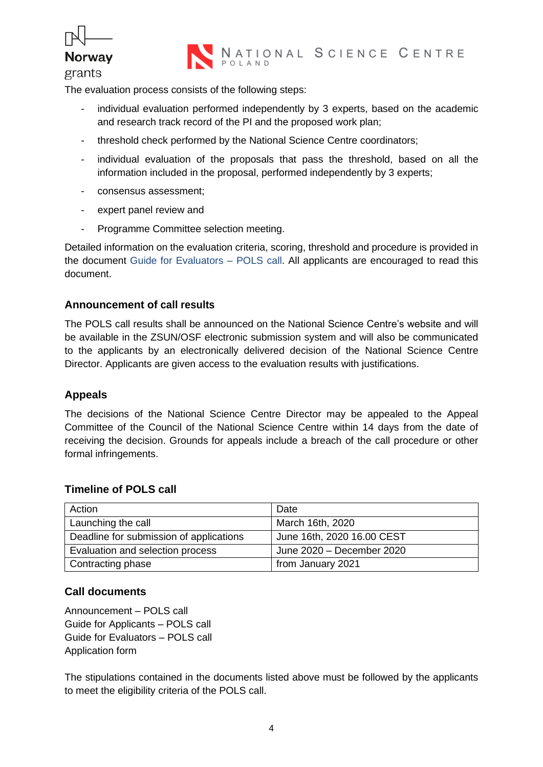

grants

The evaluation process consists of the following steps:

- individual evaluation performed independently by 3 experts, based on the academic and research track record of the PI and the proposed work plan;
- threshold check performed by the National Science Centre coordinators;
- individual evaluation of the proposals that pass the threshold, based on all the information included in the proposal, performed independently by 3 experts;
- consensus assessment;
- expert panel review and
- Programme Committee selection meeting.

Detailed information on the evaluation criteria, scoring, threshold and procedure is provided in the document Guide for Evaluators – POLS call. All applicants are encouraged to read this document.

## **Announcement of call results**

The POLS call results shall be announced on the National Science Centre's website and will be available in the ZSUN/OSF electronic submission system and will also be communicated to the applicants by an electronically delivered decision of the National Science Centre Director. Applicants are given access to the evaluation results with justifications.

## **Appeals**

The decisions of the National Science Centre Director may be appealed to the Appeal Committee of the Council of the National Science Centre within 14 days from the date of receiving the decision. Grounds for appeals include a breach of the call procedure or other formal infringements.

#### **Timeline of POLS call**

| Action                                  | Date                       |
|-----------------------------------------|----------------------------|
| Launching the call                      | March 16th, 2020           |
| Deadline for submission of applications | June 16th, 2020 16.00 CEST |
| Evaluation and selection process        | June 2020 - December 2020  |
| Contracting phase                       | from January 2021          |

## **Call documents**

Announcement – POLS call Guide for Applicants – POLS call Guide for Evaluators – POLS call Application form

The stipulations contained in the documents listed above must be followed by the applicants to meet the eligibility criteria of the POLS call.